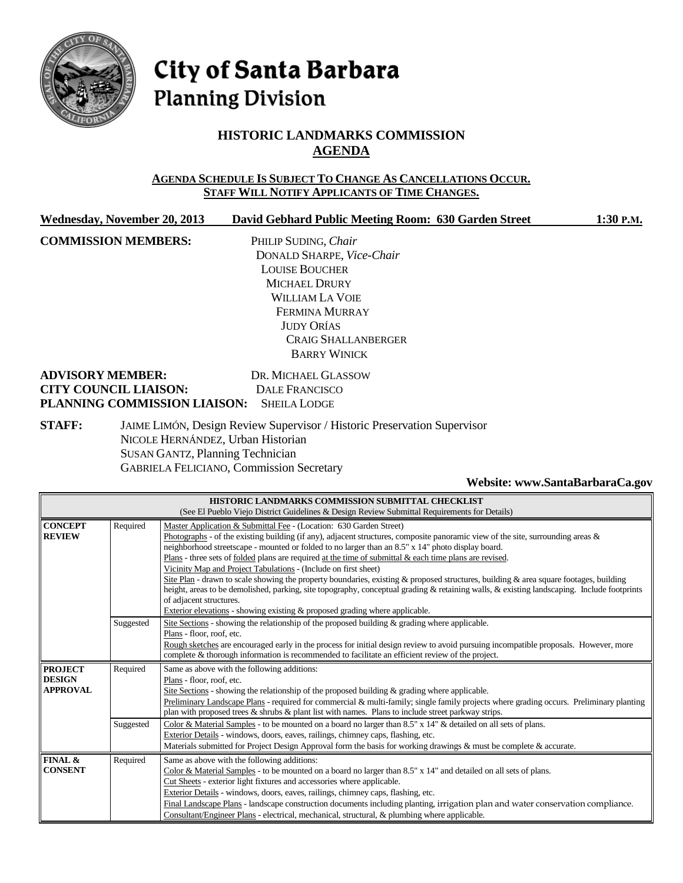

# City of Santa Barbara **Planning Division**

## **HISTORIC LANDMARKS COMMISSION AGENDA**

### **AGENDA SCHEDULE IS SUBJECT TO CHANGE AS CANCELLATIONS OCCUR. STAFF WILL NOTIFY APPLICANTS OF TIME CHANGES.**

| Wednesday, November 20, 2013 | David Gebhard Public Meeting Room: 630 Garden Street | 1:30 P.M. |
|------------------------------|------------------------------------------------------|-----------|
| <b>COMMISSION MEMBERS:</b>   | PHILIP SUDING, Chair                                 |           |
|                              | DONALD SHARPE, Vice-Chair                            |           |
|                              | <b>LOUISE BOUCHER</b>                                |           |
|                              | <b>MICHAEL DRURY</b>                                 |           |
|                              | <b>WILLIAM LA VOIE</b>                               |           |
|                              | FERMINA MURRAY                                       |           |
|                              | <b>JUDY ORÍAS</b>                                    |           |
|                              | <b>CRAIG SHALLANBERGER</b>                           |           |
|                              | <b>BARRY WINICK</b>                                  |           |
| <b>ADVISORY MEMBER:</b>      | DR. MICHAEL GLASSOW                                  |           |
| <b>CITY COUNCIL LIAISON:</b> | DALE FRANCISCO                                       |           |
| PLANNING COMMISSION LIAISON: | <b>SHEILA LODGE</b>                                  |           |
|                              |                                                      |           |

**STAFF:** JAIME LIMÓN, Design Review Supervisor / Historic Preservation Supervisor NICOLE HERNÁNDEZ, Urban Historian SUSAN GANTZ, Planning Technician GABRIELA FELICIANO, Commission Secretary

#### **Website[: www.SantaBarbaraCa.gov](http://www.santabarbaraca.gov/)**

| HISTORIC LANDMARKS COMMISSION SUBMITTAL CHECKLIST                                            |                                                                                |                                                                                                                                                                                                                                          |  |  |  |
|----------------------------------------------------------------------------------------------|--------------------------------------------------------------------------------|------------------------------------------------------------------------------------------------------------------------------------------------------------------------------------------------------------------------------------------|--|--|--|
| (See El Pueblo Viejo District Guidelines & Design Review Submittal Requirements for Details) |                                                                                |                                                                                                                                                                                                                                          |  |  |  |
| <b>CONCEPT</b>                                                                               | Required                                                                       | Master Application & Submittal Fee - (Location: 630 Garden Street)                                                                                                                                                                       |  |  |  |
| <b>REVIEW</b>                                                                                |                                                                                | Photographs - of the existing building (if any), adjacent structures, composite panoramic view of the site, surrounding areas &                                                                                                          |  |  |  |
|                                                                                              |                                                                                | neighborhood streetscape - mounted or folded to no larger than an 8.5" x 14" photo display board.                                                                                                                                        |  |  |  |
|                                                                                              |                                                                                | Plans - three sets of folded plans are required at the time of submittal $\&$ each time plans are revised.                                                                                                                               |  |  |  |
|                                                                                              |                                                                                | Vicinity Map and Project Tabulations - (Include on first sheet)                                                                                                                                                                          |  |  |  |
|                                                                                              |                                                                                | Site Plan - drawn to scale showing the property boundaries, existing & proposed structures, building & area square footages, building                                                                                                    |  |  |  |
|                                                                                              |                                                                                | height, areas to be demolished, parking, site topography, conceptual grading & retaining walls, & existing landscaping. Include footprints                                                                                               |  |  |  |
|                                                                                              |                                                                                | of adjacent structures.                                                                                                                                                                                                                  |  |  |  |
|                                                                                              | Exterior elevations - showing existing $\&$ proposed grading where applicable. |                                                                                                                                                                                                                                          |  |  |  |
|                                                                                              | Suggested                                                                      | Site Sections - showing the relationship of the proposed building & grading where applicable.                                                                                                                                            |  |  |  |
|                                                                                              |                                                                                | Plans - floor, roof, etc.                                                                                                                                                                                                                |  |  |  |
|                                                                                              |                                                                                | Rough sketches are encouraged early in the process for initial design review to avoid pursuing incompatible proposals. However, more<br>complete & thorough information is recommended to facilitate an efficient review of the project. |  |  |  |
|                                                                                              |                                                                                |                                                                                                                                                                                                                                          |  |  |  |
| <b>PROJECT</b>                                                                               | Required<br>Same as above with the following additions:                        |                                                                                                                                                                                                                                          |  |  |  |
| <b>DESIGN</b><br><b>APPROVAL</b>                                                             |                                                                                | Plans - floor, roof, etc.                                                                                                                                                                                                                |  |  |  |
|                                                                                              |                                                                                | Site Sections - showing the relationship of the proposed building & grading where applicable.                                                                                                                                            |  |  |  |
|                                                                                              |                                                                                | Preliminary Landscape Plans - required for commercial & multi-family; single family projects where grading occurs. Preliminary planting                                                                                                  |  |  |  |
|                                                                                              |                                                                                | plan with proposed trees $\&$ shrubs $\&$ plant list with names. Plans to include street parkway strips.                                                                                                                                 |  |  |  |
|                                                                                              | Suggested                                                                      | Color & Material Samples - to be mounted on a board no larger than $8.5" \times 14"$ & detailed on all sets of plans.                                                                                                                    |  |  |  |
|                                                                                              |                                                                                | Exterior Details - windows, doors, eaves, railings, chimney caps, flashing, etc.                                                                                                                                                         |  |  |  |
|                                                                                              |                                                                                | Materials submitted for Project Design Approval form the basis for working drawings & must be complete & accurate.                                                                                                                       |  |  |  |
| FINAL &<br>Required<br>Same as above with the following additions:<br><b>CONSENT</b>         |                                                                                |                                                                                                                                                                                                                                          |  |  |  |
|                                                                                              |                                                                                | Color & Material Samples - to be mounted on a board no larger than $8.5"$ x $14"$ and detailed on all sets of plans.                                                                                                                     |  |  |  |
|                                                                                              |                                                                                | Cut Sheets - exterior light fixtures and accessories where applicable.                                                                                                                                                                   |  |  |  |
|                                                                                              |                                                                                | Exterior Details - windows, doors, eaves, railings, chimney caps, flashing, etc.                                                                                                                                                         |  |  |  |
|                                                                                              |                                                                                | Final Landscape Plans - landscape construction documents including planting, irrigation plan and water conservation compliance.                                                                                                          |  |  |  |
|                                                                                              |                                                                                | Consultant/Engineer Plans - electrical, mechanical, structural, & plumbing where applicable.                                                                                                                                             |  |  |  |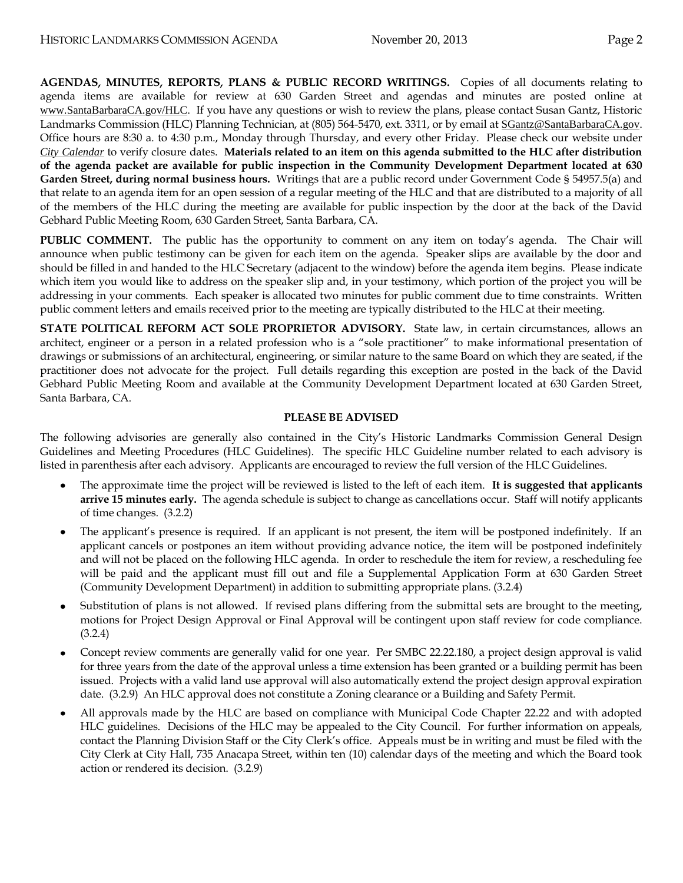**AGENDAS, MINUTES, REPORTS, PLANS & PUBLIC RECORD WRITINGS.** Copies of all documents relating to agenda items are available for review at 630 Garden Street and agendas and minutes are posted online at [www.SantaBarbaraCA.gov/HLC](http://www.santabarbaraca.gov/HLC). If you have any questions or wish to review the plans, please contact Susan Gantz, Historic Landmarks Commission (HLC) Planning Technician, at (805) 564-5470, ext. 3311, or by email at [SGantz@SantaBarbaraCA.gov](mailto:SGantz@SantaBarbaraCA.gov). Office hours are 8:30 a. to 4:30 p.m., Monday through Thursday, and every other Friday. Please check our website under *City [Calendar](http://www.santabarbaraca.gov/calendar)* to verify closure dates. **Materials related to an item on this agenda submitted to the HLC after distribution of the agenda packet are available for public inspection in the Community Development Department located at 630 Garden Street, during normal business hours.** Writings that are a public record under Government Code § 54957.5(a) and that relate to an agenda item for an open session of a regular meeting of the HLC and that are distributed to a majority of all of the members of the HLC during the meeting are available for public inspection by the door at the back of the David Gebhard Public Meeting Room, 630 Garden Street, Santa Barbara, CA.

**PUBLIC COMMENT.** The public has the opportunity to comment on any item on today's agenda. The Chair will announce when public testimony can be given for each item on the agenda. Speaker slips are available by the door and should be filled in and handed to the HLC Secretary (adjacent to the window) before the agenda item begins. Please indicate which item you would like to address on the speaker slip and, in your testimony, which portion of the project you will be addressing in your comments. Each speaker is allocated two minutes for public comment due to time constraints. Written public comment letters and emails received prior to the meeting are typically distributed to the HLC at their meeting.

**STATE POLITICAL REFORM ACT SOLE PROPRIETOR ADVISORY.** State law, in certain circumstances, allows an architect, engineer or a person in a related profession who is a "sole practitioner" to make informational presentation of drawings or submissions of an architectural, engineering, or similar nature to the same Board on which they are seated, if the practitioner does not advocate for the project. Full details regarding this exception are posted in the back of the David Gebhard Public Meeting Room and available at the Community Development Department located at 630 Garden Street, Santa Barbara, CA.

### **PLEASE BE ADVISED**

The following advisories are generally also contained in the City's Historic Landmarks Commission General Design Guidelines and Meeting Procedures (HLC Guidelines). The specific HLC Guideline number related to each advisory is listed in parenthesis after each advisory. Applicants are encouraged to review the full version of the HLC Guidelines.

- The approximate time the project will be reviewed is listed to the left of each item. **It is suggested that applicants arrive 15 minutes early.** The agenda schedule is subject to change as cancellations occur. Staff will notify applicants of time changes. (3.2.2)
- The applicant's presence is required. If an applicant is not present, the item will be postponed indefinitely. If an applicant cancels or postpones an item without providing advance notice, the item will be postponed indefinitely and will not be placed on the following HLC agenda. In order to reschedule the item for review, a rescheduling fee will be paid and the applicant must fill out and file a Supplemental Application Form at 630 Garden Street (Community Development Department) in addition to submitting appropriate plans. (3.2.4)
- Substitution of plans is not allowed. If revised plans differing from the submittal sets are brought to the meeting, motions for Project Design Approval or Final Approval will be contingent upon staff review for code compliance. (3.2.4)
- Concept review comments are generally valid for one year. Per SMBC 22.22.180, a project design approval is valid for three years from the date of the approval unless a time extension has been granted or a building permit has been issued. Projects with a valid land use approval will also automatically extend the project design approval expiration date. (3.2.9) An HLC approval does not constitute a Zoning clearance or a Building and Safety Permit.
- All approvals made by the HLC are based on compliance with Municipal Code Chapter 22.22 and with adopted HLC guidelines. Decisions of the HLC may be appealed to the City Council. For further information on appeals, contact the Planning Division Staff or the City Clerk's office. Appeals must be in writing and must be filed with the City Clerk at City Hall, 735 Anacapa Street, within ten (10) calendar days of the meeting and which the Board took action or rendered its decision. (3.2.9)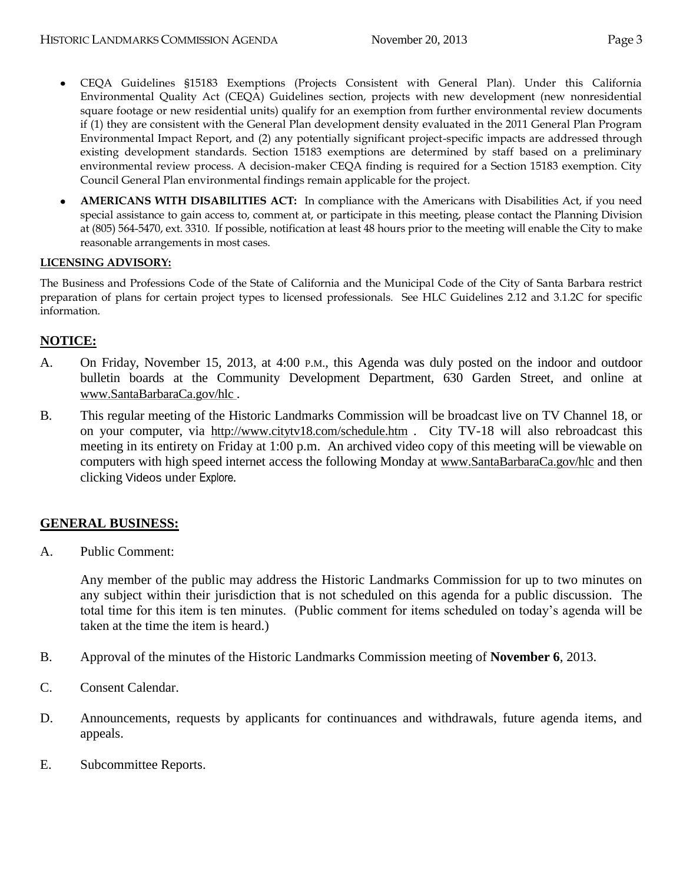- CEQA Guidelines §15183 Exemptions (Projects Consistent with General Plan). Under this California  $\bullet$ Environmental Quality Act (CEQA) Guidelines section, projects with new development (new nonresidential square footage or new residential units) qualify for an exemption from further environmental review documents if (1) they are consistent with the General Plan development density evaluated in the 2011 General Plan Program Environmental Impact Report, and (2) any potentially significant project-specific impacts are addressed through existing development standards. Section 15183 exemptions are determined by staff based on a preliminary environmental review process. A decision-maker CEQA finding is required for a Section 15183 exemption. City Council General Plan environmental findings remain applicable for the project.
- **AMERICANS WITH DISABILITIES ACT:** In compliance with the Americans with Disabilities Act, if you need special assistance to gain access to, comment at, or participate in this meeting, please contact the Planning Division at (805) 564-5470, ext. 3310. If possible, notification at least 48 hours prior to the meeting will enable the City to make reasonable arrangements in most cases.

### **LICENSING ADVISORY:**

The Business and Professions Code of the State of California and the Municipal Code of the City of Santa Barbara restrict preparation of plans for certain project types to licensed professionals. See HLC Guidelines 2.12 and 3.1.2C for specific information.

### **NOTICE:**

- A. On Friday, November 15, 2013, at 4:00 P.M., this Agenda was duly posted on the indoor and outdoor bulletin boards at the Community Development Department, 630 Garden Street, and online at [www.SantaBarbaraCa.gov/hlc](http://www.santabarbaraca.gov/hlc) .
- B. This regular meeting of the Historic Landmarks Commission will be broadcast live on TV Channel 18, or on your computer, via <http://www.citytv18.com/schedule.htm> . City TV-18 will also rebroadcast this meeting in its entirety on Friday at 1:00 p.m. An archived video copy of this meeting will be viewable on computers with high speed internet access the following Monday at [www.SantaBarbaraCa.gov/hlc](http://www.santabarbaraca.gov/hlc) and then clicking Videos under Explore*.*

### **GENERAL BUSINESS:**

A. Public Comment:

Any member of the public may address the Historic Landmarks Commission for up to two minutes on any subject within their jurisdiction that is not scheduled on this agenda for a public discussion. The total time for this item is ten minutes. (Public comment for items scheduled on today's agenda will be taken at the time the item is heard.)

- B. Approval of the minutes of the Historic Landmarks Commission meeting of **November 6**, 2013.
- C. Consent Calendar.
- D. Announcements, requests by applicants for continuances and withdrawals, future agenda items, and appeals.
- E. Subcommittee Reports.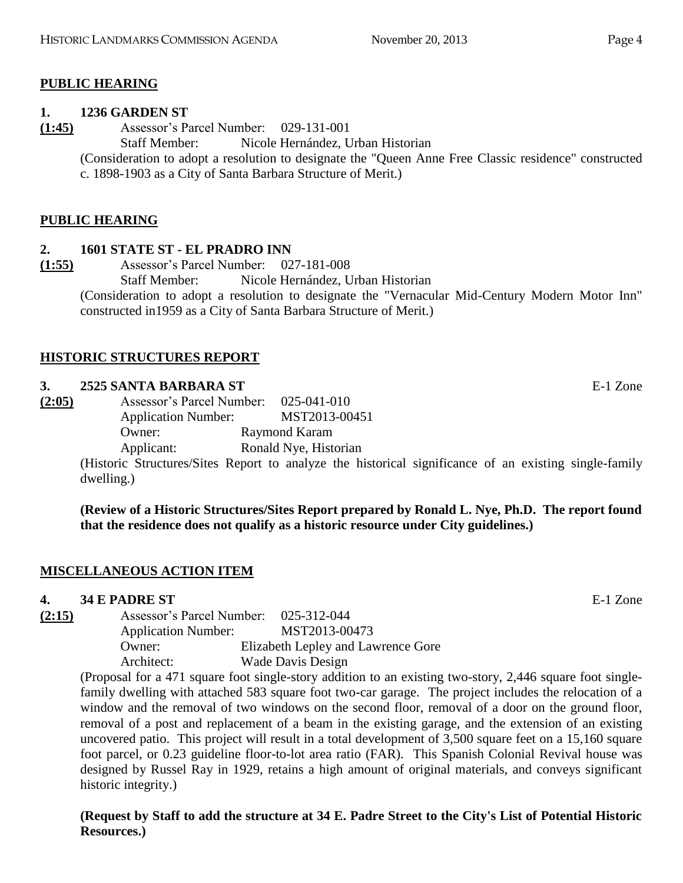### **PUBLIC HEARING**

### **1. 1236 GARDEN ST**

**(1:45)** Assessor's Parcel Number: 029-131-001

Staff Member: Nicole Hernández, Urban Historian

(Consideration to adopt a resolution to designate the "Queen Anne Free Classic residence" constructed c. 1898-1903 as a City of Santa Barbara Structure of Merit.)

### **PUBLIC HEARING**

### **2. 1601 STATE ST - EL PRADRO INN**

**(1:55)** Assessor's Parcel Number: 027-181-008 Staff Member: Nicole Hernández, Urban Historian

(Consideration to adopt a resolution to designate the "Vernacular Mid-Century Modern Motor Inn" constructed in1959 as a City of Santa Barbara Structure of Merit.)

### **HISTORIC STRUCTURES REPORT**

### **3. 2525 SANTA BARBARA ST** E-1 Zone

**(2:05)** Assessor's Parcel Number: 025-041-010 Application Number: MST2013-00451 Owner: Raymond Karam Applicant: Ronald Nye, Historian

> (Historic Structures/Sites Report to analyze the historical significance of an existing single-family dwelling.)

> **(Review of a Historic Structures/Sites Report prepared by Ronald L. Nye, Ph.D. The report found that the residence does not qualify as a historic resource under City guidelines.)**

### **MISCELLANEOUS ACTION ITEM**

### **4. 34 E PADRE ST** E-1 Zone

**(2:15)** Assessor's Parcel Number: 025-312-044 Application Number: MST2013-00473 Owner: Elizabeth Lepley and Lawrence Gore Architect: Wade Davis Design

(Proposal for a 471 square foot single-story addition to an existing two-story, 2,446 square foot singlefamily dwelling with attached 583 square foot two-car garage. The project includes the relocation of a window and the removal of two windows on the second floor, removal of a door on the ground floor, removal of a post and replacement of a beam in the existing garage, and the extension of an existing uncovered patio. This project will result in a total development of 3,500 square feet on a 15,160 square foot parcel, or 0.23 guideline floor-to-lot area ratio (FAR). This Spanish Colonial Revival house was designed by Russel Ray in 1929, retains a high amount of original materials, and conveys significant historic integrity.)

**(Request by Staff to add the structure at 34 E. Padre Street to the City's List of Potential Historic Resources.)**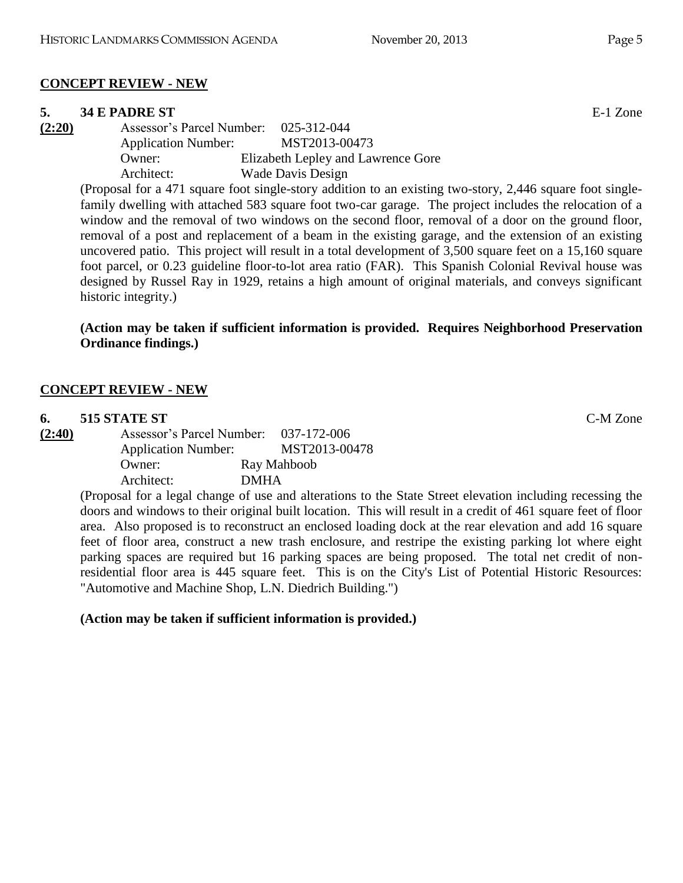## **CONCEPT REVIEW - NEW**

### **5. 34 E PADRE ST** E-1 Zone

**(2:20)** Assessor's Parcel Number: 025-312-044 Application Number: MST2013-00473 Owner: Elizabeth Lepley and Lawrence Gore Architect: Wade Davis Design

(Proposal for a 471 square foot single-story addition to an existing two-story, 2,446 square foot singlefamily dwelling with attached 583 square foot two-car garage. The project includes the relocation of a window and the removal of two windows on the second floor, removal of a door on the ground floor, removal of a post and replacement of a beam in the existing garage, and the extension of an existing uncovered patio. This project will result in a total development of 3,500 square feet on a 15,160 square foot parcel, or 0.23 guideline floor-to-lot area ratio (FAR). This Spanish Colonial Revival house was designed by Russel Ray in 1929, retains a high amount of original materials, and conveys significant historic integrity.)

**(Action may be taken if sufficient information is provided. Requires Neighborhood Preservation Ordinance findings.)**

## **CONCEPT REVIEW - NEW**

### **6. 515 STATE ST** C-M Zone

**(2:40)** Assessor's Parcel Number: 037-172-006 Application Number: MST2013-00478 Owner: Ray Mahboob Architect: DMHA

(Proposal for a legal change of use and alterations to the State Street elevation including recessing the doors and windows to their original built location. This will result in a credit of 461 square feet of floor area. Also proposed is to reconstruct an enclosed loading dock at the rear elevation and add 16 square feet of floor area, construct a new trash enclosure, and restripe the existing parking lot where eight parking spaces are required but 16 parking spaces are being proposed. The total net credit of nonresidential floor area is 445 square feet. This is on the City's List of Potential Historic Resources: "Automotive and Machine Shop, L.N. Diedrich Building.")

### **(Action may be taken if sufficient information is provided.)**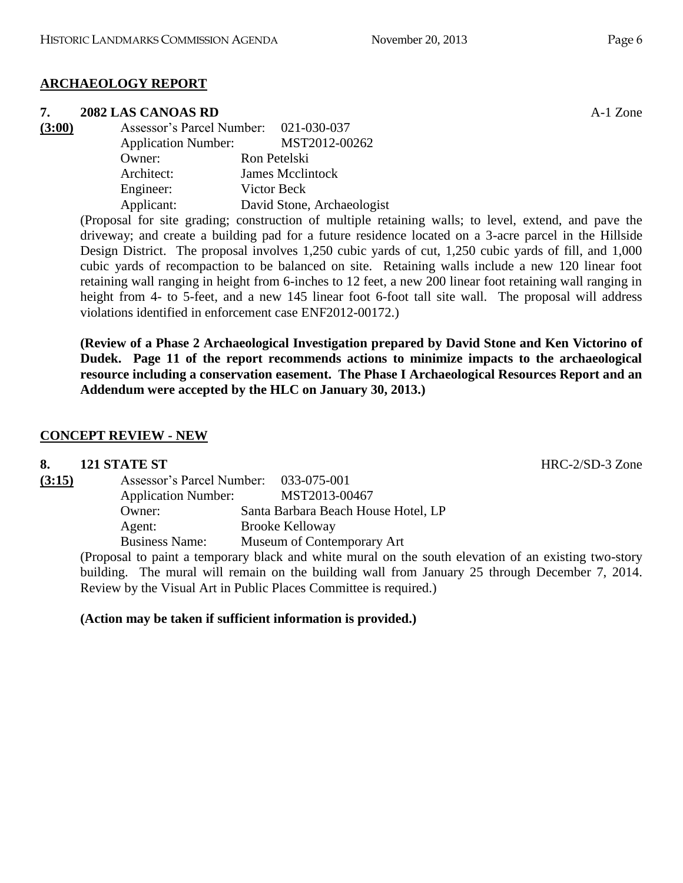## **ARCHAEOLOGY REPORT**

## **7. 2082 LAS CANOAS RD** A-1 Zone

**(3:00)** Assessor's Parcel Number: 021-030-037 Application Number: MST2012-00262 Owner: Ron Petelski Architect: James Mcclintock Engineer: Victor Beck Applicant: David Stone, Archaeologist

(Proposal for site grading; construction of multiple retaining walls; to level, extend, and pave the driveway; and create a building pad for a future residence located on a 3-acre parcel in the Hillside Design District. The proposal involves 1,250 cubic yards of cut, 1,250 cubic yards of fill, and 1,000 cubic yards of recompaction to be balanced on site. Retaining walls include a new 120 linear foot retaining wall ranging in height from 6-inches to 12 feet, a new 200 linear foot retaining wall ranging in height from 4- to 5-feet, and a new 145 linear foot 6-foot tall site wall. The proposal will address violations identified in enforcement case ENF2012-00172.)

**(Review of a Phase 2 Archaeological Investigation prepared by David Stone and Ken Victorino of Dudek. Page 11 of the report recommends actions to minimize impacts to the archaeological resource including a conservation easement. The Phase I Archaeological Resources Report and an Addendum were accepted by the HLC on January 30, 2013.)**

## **CONCEPT REVIEW - NEW**

| 8.     | 121 STATE ST               |                                                                                                      | $HRC-2/SD-3$ Zone |
|--------|----------------------------|------------------------------------------------------------------------------------------------------|-------------------|
| (3:15) |                            | Assessor's Parcel Number: 033-075-001                                                                |                   |
|        | <b>Application Number:</b> | MST2013-00467                                                                                        |                   |
|        | Owner:                     | Santa Barbara Beach House Hotel, LP                                                                  |                   |
|        | Agent:                     | <b>Brooke Kelloway</b>                                                                               |                   |
|        | <b>Business Name:</b>      | Museum of Contemporary Art                                                                           |                   |
|        |                            | (Proposal to paint a temporary black and white mural on the south elevation of an existing two-story |                   |

(Proposal to paint a temporary black and white mural on the south elevation of an existing two-story building. The mural will remain on the building wall from January 25 through December 7, 2014. Review by the Visual Art in Public Places Committee is required.)

**(Action may be taken if sufficient information is provided.)**